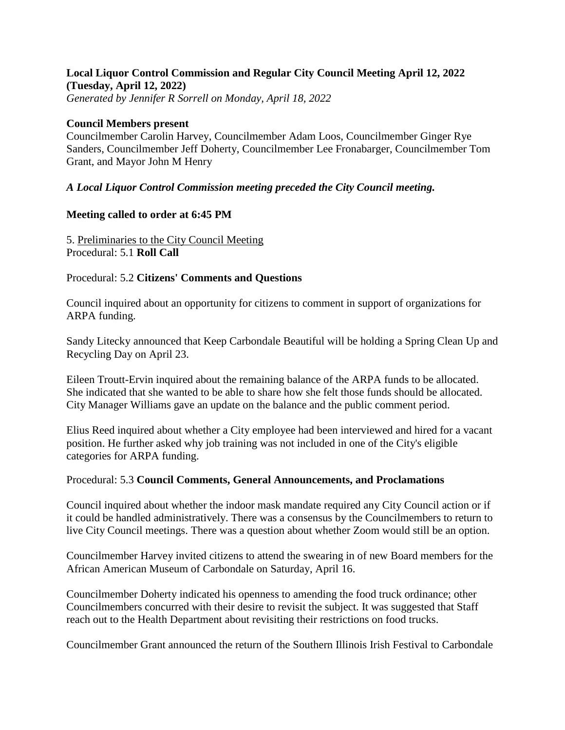# **Local Liquor Control Commission and Regular City Council Meeting April 12, 2022 (Tuesday, April 12, 2022)**

*Generated by Jennifer R Sorrell on Monday, April 18, 2022*

#### **Council Members present**

Councilmember Carolin Harvey, Councilmember Adam Loos, Councilmember Ginger Rye Sanders, Councilmember Jeff Doherty, Councilmember Lee Fronabarger, Councilmember Tom Grant, and Mayor John M Henry

## *A Local Liquor Control Commission meeting preceded the City Council meeting.*

#### **Meeting called to order at 6:45 PM**

5. Preliminaries to the City Council Meeting Procedural: 5.1 **Roll Call**

## Procedural: 5.2 **Citizens' Comments and Questions**

Council inquired about an opportunity for citizens to comment in support of organizations for ARPA funding.

Sandy Litecky announced that Keep Carbondale Beautiful will be holding a Spring Clean Up and Recycling Day on April 23.

Eileen Troutt-Ervin inquired about the remaining balance of the ARPA funds to be allocated. She indicated that she wanted to be able to share how she felt those funds should be allocated. City Manager Williams gave an update on the balance and the public comment period.

Elius Reed inquired about whether a City employee had been interviewed and hired for a vacant position. He further asked why job training was not included in one of the City's eligible categories for ARPA funding.

#### Procedural: 5.3 **Council Comments, General Announcements, and Proclamations**

Council inquired about whether the indoor mask mandate required any City Council action or if it could be handled administratively. There was a consensus by the Councilmembers to return to live City Council meetings. There was a question about whether Zoom would still be an option.

Councilmember Harvey invited citizens to attend the swearing in of new Board members for the African American Museum of Carbondale on Saturday, April 16.

Councilmember Doherty indicated his openness to amending the food truck ordinance; other Councilmembers concurred with their desire to revisit the subject. It was suggested that Staff reach out to the Health Department about revisiting their restrictions on food trucks.

Councilmember Grant announced the return of the Southern Illinois Irish Festival to Carbondale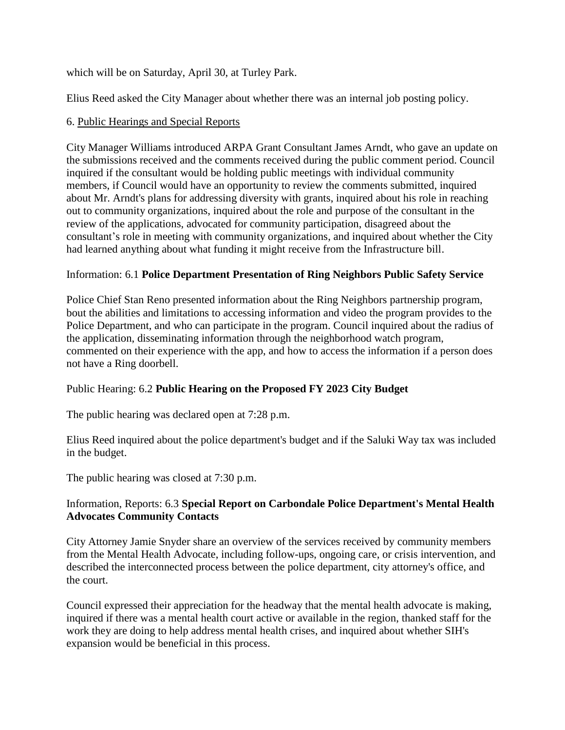which will be on Saturday, April 30, at Turley Park.

Elius Reed asked the City Manager about whether there was an internal job posting policy.

#### 6. Public Hearings and Special Reports

City Manager Williams introduced ARPA Grant Consultant James Arndt, who gave an update on the submissions received and the comments received during the public comment period. Council inquired if the consultant would be holding public meetings with individual community members, if Council would have an opportunity to review the comments submitted, inquired about Mr. Arndt's plans for addressing diversity with grants, inquired about his role in reaching out to community organizations, inquired about the role and purpose of the consultant in the review of the applications, advocated for community participation, disagreed about the consultant's role in meeting with community organizations, and inquired about whether the City had learned anything about what funding it might receive from the Infrastructure bill.

#### Information: 6.1 **Police Department Presentation of Ring Neighbors Public Safety Service**

Police Chief Stan Reno presented information about the Ring Neighbors partnership program, bout the abilities and limitations to accessing information and video the program provides to the Police Department, and who can participate in the program. Council inquired about the radius of the application, disseminating information through the neighborhood watch program, commented on their experience with the app, and how to access the information if a person does not have a Ring doorbell.

## Public Hearing: 6.2 **Public Hearing on the Proposed FY 2023 City Budget**

The public hearing was declared open at 7:28 p.m.

Elius Reed inquired about the police department's budget and if the Saluki Way tax was included in the budget.

The public hearing was closed at 7:30 p.m.

#### Information, Reports: 6.3 **Special Report on Carbondale Police Department's Mental Health Advocates Community Contacts**

City Attorney Jamie Snyder share an overview of the services received by community members from the Mental Health Advocate, including follow-ups, ongoing care, or crisis intervention, and described the interconnected process between the police department, city attorney's office, and the court.

Council expressed their appreciation for the headway that the mental health advocate is making, inquired if there was a mental health court active or available in the region, thanked staff for the work they are doing to help address mental health crises, and inquired about whether SIH's expansion would be beneficial in this process.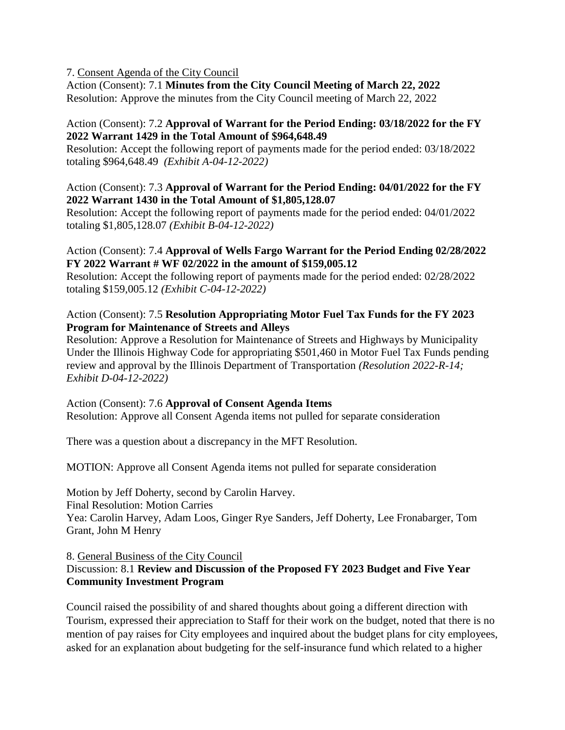#### 7. Consent Agenda of the City Council

Action (Consent): 7.1 **Minutes from the City Council Meeting of March 22, 2022** Resolution: Approve the minutes from the City Council meeting of March 22, 2022

#### Action (Consent): 7.2 **Approval of Warrant for the Period Ending: 03/18/2022 for the FY 2022 Warrant 1429 in the Total Amount of \$964,648.49**

Resolution: Accept the following report of payments made for the period ended: 03/18/2022 totaling \$964,648.49 *(Exhibit A-04-12-2022)*

#### Action (Consent): 7.3 **Approval of Warrant for the Period Ending: 04/01/2022 for the FY 2022 Warrant 1430 in the Total Amount of \$1,805,128.07**

Resolution: Accept the following report of payments made for the period ended: 04/01/2022 totaling \$1,805,128.07 *(Exhibit B-04-12-2022)*

### Action (Consent): 7.4 **Approval of Wells Fargo Warrant for the Period Ending 02/28/2022 FY 2022 Warrant # WF 02/2022 in the amount of \$159,005.12**

Resolution: Accept the following report of payments made for the period ended: 02/28/2022 totaling \$159,005.12 *(Exhibit C-04-12-2022)*

## Action (Consent): 7.5 **Resolution Appropriating Motor Fuel Tax Funds for the FY 2023 Program for Maintenance of Streets and Alleys**

Resolution: Approve a Resolution for Maintenance of Streets and Highways by Municipality Under the Illinois Highway Code for appropriating \$501,460 in Motor Fuel Tax Funds pending review and approval by the Illinois Department of Transportation *(Resolution 2022-R-14; Exhibit D-04-12-2022)*

## Action (Consent): 7.6 **Approval of Consent Agenda Items**

Resolution: Approve all Consent Agenda items not pulled for separate consideration

There was a question about a discrepancy in the MFT Resolution.

MOTION: Approve all Consent Agenda items not pulled for separate consideration

Motion by Jeff Doherty, second by Carolin Harvey.

Final Resolution: Motion Carries

Yea: Carolin Harvey, Adam Loos, Ginger Rye Sanders, Jeff Doherty, Lee Fronabarger, Tom Grant, John M Henry

8. General Business of the City Council

## Discussion: 8.1 **Review and Discussion of the Proposed FY 2023 Budget and Five Year Community Investment Program**

Council raised the possibility of and shared thoughts about going a different direction with Tourism, expressed their appreciation to Staff for their work on the budget, noted that there is no mention of pay raises for City employees and inquired about the budget plans for city employees, asked for an explanation about budgeting for the self-insurance fund which related to a higher